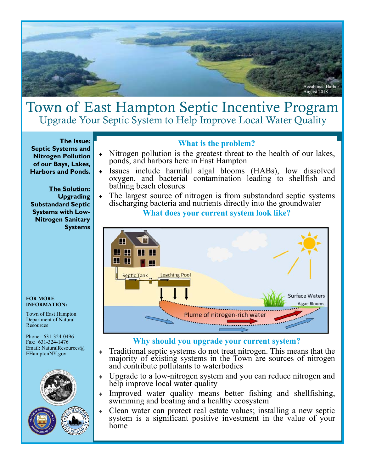

## Town of East Hampton Septic Incentive Program Upgrade Your Septic System to Help Improve Local Water Quality

**The Issue: Septic Systems and Nitrogen Pollution of our Bays, Lakes, Harbors and Ponds.** 

**The Solution: Upgrading Substandard Septic Systems with Low-Nitrogen Sanitary Systems** 

FOR MORE INFORMATION:

Town of East Hampton Department of Natural **Resources** 

Phone: 631-324-0496 Fax: 631-324-1476 Email: NaturalResources@ EHamptonNY.gov





#### **What is the problem?**

- Nitrogen pollution is the greatest threat to the health of our lakes, ponds, and harbors here in East Hampton
- Issues include harmful algal blooms (HABs), low dissolved oxygen, and bacterial contamination leading to shellfish and bathing beach closures
- The largest source of nitrogen is from substandard septic systems discharging bacteria and nutrients directly into the groundwater

**What does your current system look like?** 



#### **Why should you upgrade your current system?**

- Traditional septic systems do not treat nitrogen. This means that the majority of existing systems in the Town are sources of nitrogen and contribute pollutants to waterbodies
- Upgrade to a low-nitrogen system and you can reduce nitrogen and help improve local water quality
- Improved water quality means better fishing and shellfishing, swimming and boating and a healthy ecosystem
- Clean water can protect real estate values; installing a new septic system is a significant positive investment in the value of your home